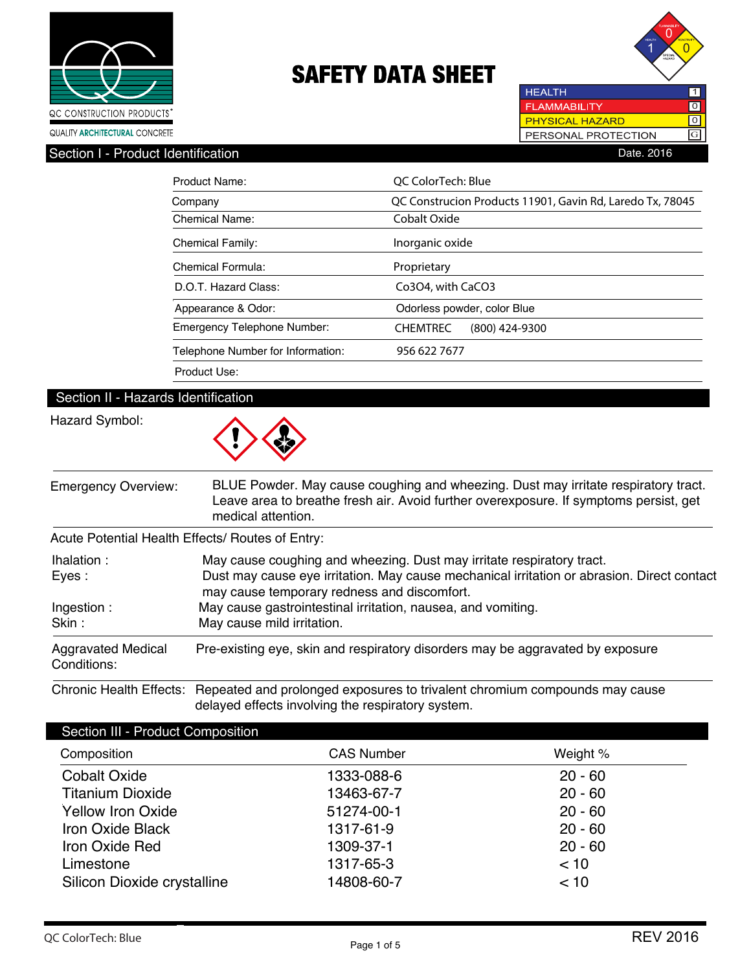



**HEALTH**  $\overline{1}$ **FLAMMABILITY**  $\overline{10}$ **PHYSICAL HAZARD** ल PERSONAL PROTECTION GSection I - Product Identification **Date. 2016** 

| Product Name:                     | OC ColorTech: Blue                                        |  |  |
|-----------------------------------|-----------------------------------------------------------|--|--|
| Company                           | QC Construcion Products 11901, Gavin Rd, Laredo Tx, 78045 |  |  |
| <b>Chemical Name:</b>             | Cobalt Oxide                                              |  |  |
| <b>Chemical Family:</b>           | Inorganic oxide                                           |  |  |
| Chemical Formula:                 | Proprietary                                               |  |  |
| D.O.T. Hazard Class:              | Co3O4, with CaCO3                                         |  |  |
| Appearance & Odor:                | Odorless powder, color Blue                               |  |  |
| Emergency Telephone Number:       | <b>CHEMTREC</b><br>$(800)$ 424-9300                       |  |  |
| Telephone Number for Information: | 956 622 7677                                              |  |  |
| Product Use:                      |                                                           |  |  |

### Section II - Hazards Identification

### Hazard Symbol:



| <b>Emergency Overview:</b>               | BLUE Powder. May cause coughing and wheezing. Dust may irritate respiratory tract.<br>Leave area to breathe fresh air. Avoid further overexposure. If symptoms persist, get<br>medical attention. |
|------------------------------------------|---------------------------------------------------------------------------------------------------------------------------------------------------------------------------------------------------|
|                                          | Acute Potential Health Effects/ Routes of Entry:                                                                                                                                                  |
| Ihalation:                               | May cause coughing and wheezing. Dust may irritate respiratory tract.                                                                                                                             |
| Eyes:                                    | Dust may cause eye irritation. May cause mechanical irritation or abrasion. Direct contact<br>may cause temporary redness and discomfort.                                                         |
| Ingestion:                               | May cause gastrointestinal irritation, nausea, and vomiting.                                                                                                                                      |
| Skin:                                    | May cause mild irritation.                                                                                                                                                                        |
| <b>Aggravated Medical</b><br>Conditions: | Pre-existing eye, skin and respiratory disorders may be aggravated by exposure                                                                                                                    |

Chronic Health Effects: Repeated and prolonged exposures to trivalent chromium compounds may cause delayed effects involving the respiratory system.

| Section III - Product Composition |                   |           |
|-----------------------------------|-------------------|-----------|
| Composition                       | <b>CAS Number</b> | Weight %  |
| <b>Cobalt Oxide</b>               | 1333-088-6        | $20 - 60$ |
| <b>Titanium Dioxide</b>           | 13463-67-7        | $20 - 60$ |
| <b>Yellow Iron Oxide</b>          | 51274-00-1        | $20 - 60$ |
| <b>Iron Oxide Black</b>           | 1317-61-9         | $20 - 60$ |
| Iron Oxide Red                    | 1309-37-1         | $20 - 60$ |
| Limestone                         | 1317-65-3         | < 10      |
| Silicon Dioxide crystalline       | 14808-60-7        | < 10      |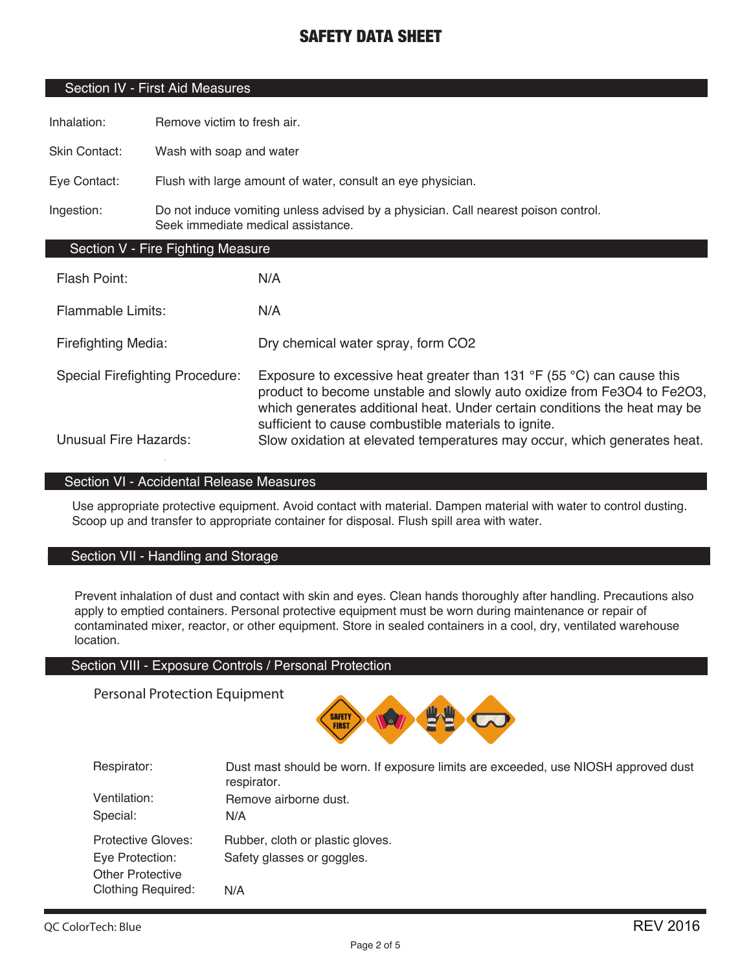### Section IV - First Aid Measures

Inhalation: Remove victim to fresh air.

Skin Contact: Wash with soap and water

Eye Contact: Flush with large amount of water, consult an eye physician.

Ingestion: Do not induce vomiting unless advised by a physician. Call nearest poison control. Seek immediate medical assistance.

### Section V - Fire Fighting Measure

| Flash Point:                           | N/A                                                                                                                                                                                                                                                                                                     |
|----------------------------------------|---------------------------------------------------------------------------------------------------------------------------------------------------------------------------------------------------------------------------------------------------------------------------------------------------------|
| <b>Flammable Limits:</b>               | N/A                                                                                                                                                                                                                                                                                                     |
| <b>Firefighting Media:</b>             | Dry chemical water spray, form CO2                                                                                                                                                                                                                                                                      |
| <b>Special Firefighting Procedure:</b> | Exposure to excessive heat greater than 131 $\degree$ F (55 $\degree$ C) can cause this<br>product to become unstable and slowly auto oxidize from Fe3O4 to Fe2O3,<br>which generates additional heat. Under certain conditions the heat may be<br>sufficient to cause combustible materials to ignite. |
| <b>Unusual Fire Hazards:</b>           | Slow oxidation at elevated temperatures may occur, which generates heat.                                                                                                                                                                                                                                |

### Section VI - Accidental Release Measures

Use appropriate protective equipment. Avoid contact with material. Dampen material with water to control dusting. Scoop up and transfer to appropriate container for disposal. Flush spill area with water.

### Section VII - Handling and Storage

Prevent inhalation of dust and contact with skin and eyes. Clean hands thoroughly after handling. Precautions also apply to emptied containers. Personal protective equipment must be worn during maintenance or repair of contaminated mixer, reactor, or other equipment. Store in sealed containers in a cool, dry, ventilated warehouse location.

#### Section VIII - Exposure Controls / Personal Protection

Personal Protection Equipment



| Respirator:               | Dust mast should be worn. If exposure limits are exceeded, use NIOSH approved dust<br>respirator. |
|---------------------------|---------------------------------------------------------------------------------------------------|
| Ventilation:              | Remove airborne dust.                                                                             |
| Special:                  | N/A                                                                                               |
| Protective Gloves:        | Rubber, cloth or plastic gloves.                                                                  |
| Eye Protection:           | Safety glasses or goggles.                                                                        |
| <b>Other Protective</b>   |                                                                                                   |
| <b>Clothing Required:</b> | N/A                                                                                               |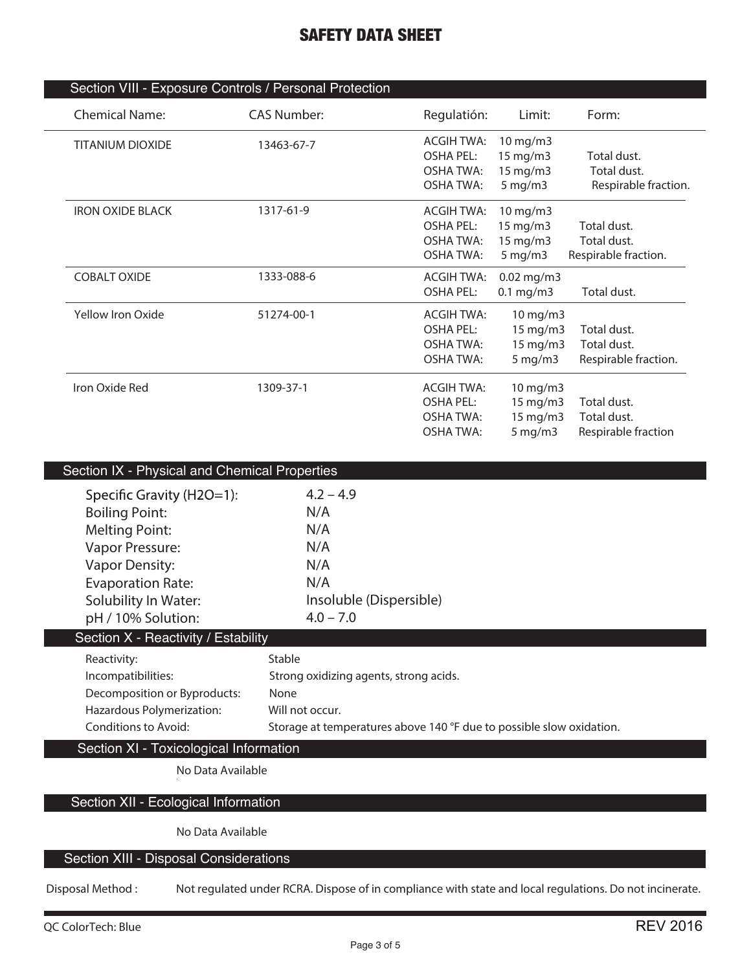| Section VIII - Exposure Controls / Personal Protection |                                             |                                       |                      |                      |  |  |
|--------------------------------------------------------|---------------------------------------------|---------------------------------------|----------------------|----------------------|--|--|
| <b>Chemical Name:</b>                                  | <b>CAS Number:</b>                          | Regulatión:                           | Limit:               | Form:                |  |  |
| <b>TITANIUM DIOXIDE</b>                                | 13463-67-7                                  | <b>ACGIH TWA:</b><br><b>OSHA PEL:</b> | 10 mg/m3<br>15 mg/m3 | Total dust.          |  |  |
|                                                        |                                             | <b>OSHA TWA:</b>                      | 15 mg/m3             | Total dust.          |  |  |
|                                                        |                                             | <b>OSHA TWA:</b>                      | $5$ mg/m $3$         | Respirable fraction. |  |  |
| <b>IRON OXIDE BLACK</b>                                | 1317-61-9                                   | <b>ACGIH TWA:</b>                     | 10 mg/m3             |                      |  |  |
|                                                        |                                             | <b>OSHA PEL:</b>                      | 15 mg/m3             | Total dust.          |  |  |
|                                                        |                                             | <b>OSHA TWA:</b>                      | 15 mg/m3             | Total dust.          |  |  |
|                                                        |                                             | OSHA TWA:                             | $5$ mg/m $3$         | Respirable fraction. |  |  |
| <b>COBALT OXIDE</b>                                    | 1333-088-6                                  | <b>ACGIH TWA:</b>                     | 0.02 mg/m3           |                      |  |  |
|                                                        |                                             | <b>OSHA PEL:</b>                      | $0.1$ mg/m3          | Total dust.          |  |  |
| Yellow Iron Oxide                                      | 51274-00-1                                  | <b>ACGIH TWA:</b>                     | 10 mg/m3             |                      |  |  |
|                                                        |                                             | <b>OSHA PEL:</b>                      | 15 mg/m3             | Total dust.          |  |  |
|                                                        |                                             | <b>OSHA TWA:</b>                      | 15 mg/m3             | Total dust.          |  |  |
|                                                        |                                             | <b>OSHA TWA:</b>                      | $5 \,\mathrm{mg/m}$  | Respirable fraction. |  |  |
| Iron Oxide Red                                         | 1309-37-1                                   | <b>ACGIH TWA:</b>                     | 10 mg/m3             |                      |  |  |
|                                                        |                                             | <b>OSHA PEL:</b>                      | 15 mg/m3             | Total dust.          |  |  |
|                                                        |                                             | <b>OSHA TWA:</b>                      | 15 mg/m3             | Total dust.          |  |  |
|                                                        |                                             | <b>OSHA TWA:</b>                      | $5$ mg/m $3$         | Respirable fraction  |  |  |
|                                                        |                                             |                                       |                      |                      |  |  |
|                                                        | Cootion IV Dhugical and Chamical Proportion |                                       |                      |                      |  |  |

| Section IX - Physical and Chemical Properties |                                                                      |
|-----------------------------------------------|----------------------------------------------------------------------|
| Specific Gravity (H2O=1):                     | $4.2 - 4.9$                                                          |
| <b>Boiling Point:</b>                         | N/A                                                                  |
| <b>Melting Point:</b>                         | N/A                                                                  |
| <b>Vapor Pressure:</b>                        | N/A                                                                  |
| <b>Vapor Density:</b>                         | N/A                                                                  |
| <b>Evaporation Rate:</b>                      | N/A                                                                  |
| Solubility In Water:                          | Insoluble (Dispersible)                                              |
| pH / 10% Solution:                            | $4.0 - 7.0$                                                          |
| Section X - Reactivity / Estability           |                                                                      |
| Reactivity:                                   | Stable                                                               |
| Incompatibilities:                            | Strong oxidizing agents, strong acids.                               |
| Decomposition or Byproducts:                  | None                                                                 |
| Hazardous Polymerization:                     | Will not occur.                                                      |
| Conditions to Avoid:                          | Storage at temperatures above 140 °F due to possible slow oxidation. |
| Section XI - Toxicological Information        |                                                                      |
| No Data Available                             |                                                                      |
|                                               |                                                                      |

# Section XII - Ecological Information

**No Data Available**

## Section XIII - Disposal Considerations

**Disposal Method : Not regulated under RCRA. Dispose of in compliance with state and local regulations. Do not incinerate.**

L

L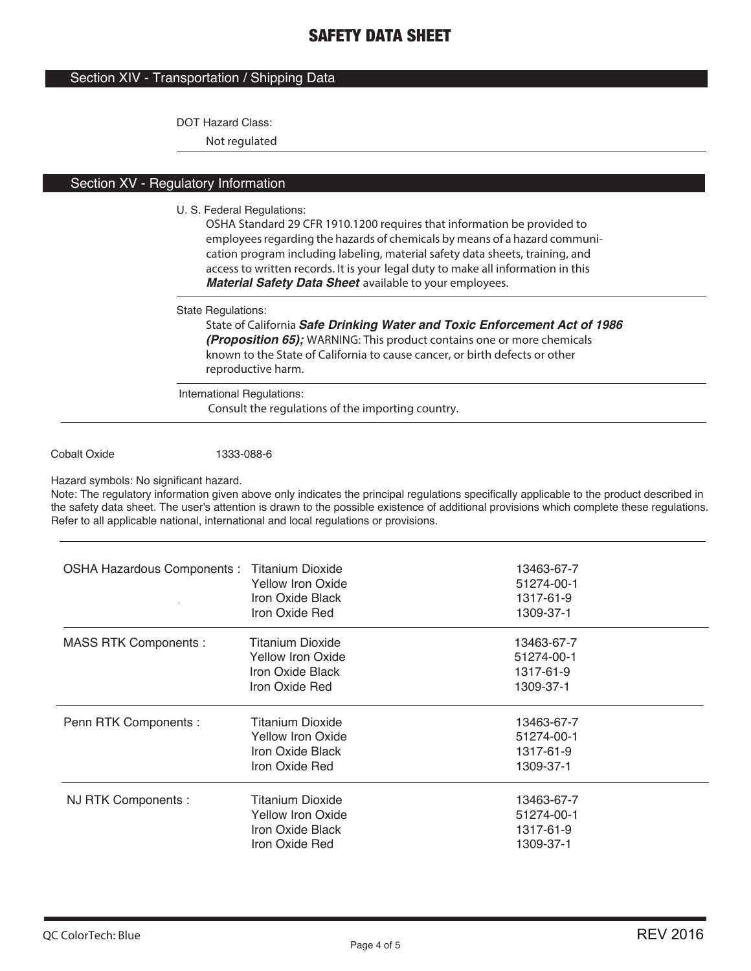### Section XIV - Transportation / Shipping Data

#### DOT Hazard Class:

**Not regulated**

# Section XV - Regulatory Information

#### U. S. Federal Regulations:

**OSHA Standard 29 CFR 1910.1200 requires that information be provided to employees regarding the hazards of chemicals by means of a hazard communication program including labeling, material safety data sheets, training, and access to written records. It is your legal duty to make all information in this**  *Material Safety Data Sheet* **available to your employees.**

#### State Regulations:

**State of California** *Safe Drinking Water and Toxic Enforcement Act of 1986 (Proposition 65);* **WARNING: This product contains one or more chemicals known to the State of California to cause cancer, or birth defects or other reproductive harm.**

International Regulations: **Consult the regulations of the importing country.**

#### Cobalt Oxide 1333-088-6

Hazard symbols: No significant hazard.

Note: The regulatory information given above only indicates the principal regulations specifically applicable to the product described in the safety data sheet. The user's attention is drawn to the possible existence of additional provisions which complete these regulations. Refer to all applicable national, international and local regulations or provisions.

| <b>OSHA Hazardous Components: Titanium Dioxide</b> | Yellow Iron Oxide<br>Iron Oxide Black<br>Iron Oxide Red                                   | 13463-67-7<br>51274-00-1<br>1317-61-9<br>1309-37-1 |
|----------------------------------------------------|-------------------------------------------------------------------------------------------|----------------------------------------------------|
| <b>MASS RTK Components:</b>                        | <b>Titanium Dioxide</b><br><b>Yellow Iron Oxide</b><br>Iron Oxide Black<br>Iron Oxide Red | 13463-67-7<br>51274-00-1<br>1317-61-9<br>1309-37-1 |
| Penn RTK Components :                              | <b>Titanium Dioxide</b><br><b>Yellow Iron Oxide</b><br>Iron Oxide Black<br>Iron Oxide Red | 13463-67-7<br>51274-00-1<br>1317-61-9<br>1309-37-1 |
| NJ RTK Components :                                | Titanium Dioxide<br>Yellow Iron Oxide<br>Iron Oxide Black<br>Iron Oxide Red               | 13463-67-7<br>51274-00-1<br>1317-61-9<br>1309-37-1 |